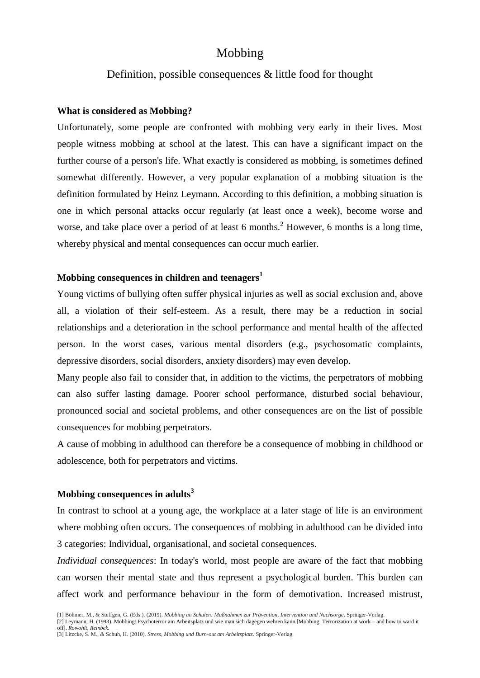# Mobbing

## Definition, possible consequences & little food for thought

#### **What is considered as Mobbing?**

Unfortunately, some people are confronted with mobbing very early in their lives. Most people witness mobbing at school at the latest. This can have a significant impact on the further course of a person's life. What exactly is considered as mobbing, is sometimes defined somewhat differently. However, a very popular explanation of a mobbing situation is the definition formulated by Heinz Leymann. According to this definition, a mobbing situation is one in which personal attacks occur regularly (at least once a week), become worse and worse, and take place over a period of at least 6 months.<sup>2</sup> However, 6 months is a long time, whereby physical and mental consequences can occur much earlier.

### **Mobbing consequences in children and teenagers<sup>1</sup>**

Young victims of bullying often suffer physical injuries as well as social exclusion and, above all, a violation of their self-esteem. As a result, there may be a reduction in social relationships and a deterioration in the school performance and mental health of the affected person. In the worst cases, various mental disorders (e.g., psychosomatic complaints, depressive disorders, social disorders, anxiety disorders) may even develop.

Many people also fail to consider that, in addition to the victims, the perpetrators of mobbing can also suffer lasting damage. Poorer school performance, disturbed social behaviour, pronounced social and societal problems, and other consequences are on the list of possible consequences for mobbing perpetrators.

A cause of mobbing in adulthood can therefore be a consequence of mobbing in childhood or adolescence, both for perpetrators and victims.

#### **Mobbing consequences in adults<sup>3</sup>**

In contrast to school at a young age, the workplace at a later stage of life is an environment where mobbing often occurs. The consequences of mobbing in adulthood can be divided into 3 categories: Individual, organisational, and societal consequences.

*Individual consequences*: In today's world, most people are aware of the fact that mobbing can worsen their mental state and thus represent a psychological burden. This burden can affect work and performance behaviour in the form of demotivation. Increased mistrust,

<sup>[1]</sup> Böhmer, M., & Steffgen, G. (Eds.). (2019). *Mobbing an Schulen: Maßnahmen zur Prävention, Intervention und Nachsorge*. Springer-Verlag.

<sup>[2]</sup> Leymann, H. (1993). Mobbing: Psychoterror am Arbeitsplatz und wie man sich dagegen wehren kann.[Mobbing: Terrorization at work – and how to ward it off]. *Rowohlt, Reinbek.*

<sup>[3]</sup> Litzcke, S. M., & Schuh, H. (2010). *Stress, Mobbing und Burn-out am Arbeitsplatz*. Springer-Verlag.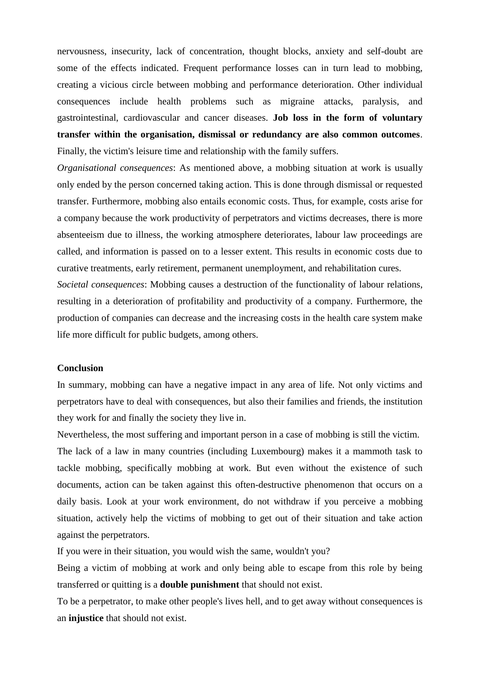nervousness, insecurity, lack of concentration, thought blocks, anxiety and self-doubt are some of the effects indicated. Frequent performance losses can in turn lead to mobbing, creating a vicious circle between mobbing and performance deterioration. Other individual consequences include health problems such as migraine attacks, paralysis, and gastrointestinal, cardiovascular and cancer diseases. **Job loss in the form of voluntary transfer within the organisation, dismissal or redundancy are also common outcomes**. Finally, the victim's leisure time and relationship with the family suffers.

*Organisational consequences*: As mentioned above, a mobbing situation at work is usually only ended by the person concerned taking action. This is done through dismissal or requested transfer. Furthermore, mobbing also entails economic costs. Thus, for example, costs arise for a company because the work productivity of perpetrators and victims decreases, there is more absenteeism due to illness, the working atmosphere deteriorates, labour law proceedings are called, and information is passed on to a lesser extent. This results in economic costs due to curative treatments, early retirement, permanent unemployment, and rehabilitation cures.

*Societal consequences*: Mobbing causes a destruction of the functionality of labour relations, resulting in a deterioration of profitability and productivity of a company. Furthermore, the production of companies can decrease and the increasing costs in the health care system make life more difficult for public budgets, among others.

### **Conclusion**

In summary, mobbing can have a negative impact in any area of life. Not only victims and perpetrators have to deal with consequences, but also their families and friends, the institution they work for and finally the society they live in.

Nevertheless, the most suffering and important person in a case of mobbing is still the victim. The lack of a law in many countries (including Luxembourg) makes it a mammoth task to tackle mobbing, specifically mobbing at work. But even without the existence of such documents, action can be taken against this often-destructive phenomenon that occurs on a daily basis. Look at your work environment, do not withdraw if you perceive a mobbing situation, actively help the victims of mobbing to get out of their situation and take action against the perpetrators.

If you were in their situation, you would wish the same, wouldn't you?

Being a victim of mobbing at work and only being able to escape from this role by being transferred or quitting is a **double punishment** that should not exist.

To be a perpetrator, to make other people's lives hell, and to get away without consequences is an **injustice** that should not exist.